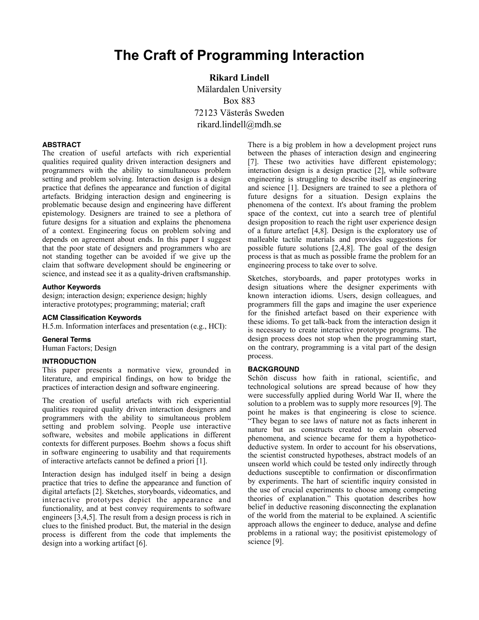## **The Craft of Programming Interaction**

**Rikard Lindell** Mälardalen University Box 883 72123 Västerås Sweden rikard.lindell@mdh.se

### **ABSTRACT**

The creation of useful artefacts with rich experiential qualities required quality driven interaction designers and programmers with the ability to simultaneous problem setting and problem solving. Interaction design is a design practice that defines the appearance and function of digital artefacts. Bridging interaction design and engineering is problematic because design and engineering have different epistemology. Designers are trained to see a plethora of future designs for a situation and explains the phenomena of a context. Engineering focus on problem solving and depends on agreement about ends. In this paper I suggest that the poor state of designers and programmers who are not standing together can be avoided if we give up the claim that software development should be engineering or science, and instead see it as a quality-driven craftsmanship.

### **Author Keywords**

design; interaction design; experience design; highly interactive prototypes; programming; material; craft

### **ACM Classification Keywords**

H.5.m. Information interfaces and presentation (e.g., HCI):

### **General Terms**

Human Factors; Design

### **INTRODUCTION**

This paper presents a normative view, grounded in literature, and empirical findings, on how to bridge the practices of interaction design and software engineering.

The creation of useful artefacts with rich experiential qualities required quality driven interaction designers and programmers with the ability to simultaneous problem setting and problem solving. People use interactive software, websites and mobile applications in different contexts for different purposes. Boehm shows a focus shift in software engineering to usability and that requirements of interactive artefacts cannot be defined a priori [1].

Interaction design has indulged itself in being a design practice that tries to define the appearance and function of digital artefacts [2]. Sketches, storyboards, videomatics, and interactive prototypes depict the appearance and functionality, and at best convey requirements to software engineers [3,4,5]. The result from a design process is rich in clues to the finished product. But, the material in the design process is different from the code that implements the design into a working artifact [6].

There is a big problem in how a development project runs between the phases of interaction design and engineering [7]. These two activities have different epistemology; interaction design is a design practice [2], while software engineering is struggling to describe itself as engineering and science [1]. Designers are trained to see a plethora of future designs for a situation. Design explains the phenomena of the context. It's about framing the problem space of the context, cut into a search tree of plentiful design proposition to reach the right user experience design of a future artefact [4,8]. Design is the exploratory use of malleable tactile materials and provides suggestions for possible future solutions [2,4,8]. The goal of the design process is that as much as possible frame the problem for an engineering process to take over to solve.

Sketches, storyboards, and paper prototypes works in design situations where the designer experiments with known interaction idioms. Users, design colleagues, and programmers fill the gaps and imagine the user experience for the finished artefact based on their experience with these idioms. To get talk-back from the interaction design it is necessary to create interactive prototype programs. The design process does not stop when the programming start, on the contrary, programming is a vital part of the design process.

### **BACKGROUND**

Schön discuss how faith in rational, scientific, and technological solutions are spread because of how they were successfully applied during World War II, where the solution to a problem was to supply more resources [9]. The point he makes is that engineering is close to science. "They began to see laws of nature not as facts inherent in nature but as constructs created to explain observed phenomena, and science became for them a hypotheticodeductive system. In order to account for his observations, the scientist constructed hypotheses, abstract models of an unseen world which could be tested only indirectly through deductions susceptible to confirmation or disconfirmation by experiments. The hart of scientific inquiry consisted in the use of crucial experiments to choose among competing theories of explanation." This quotation describes how belief in deductive reasoning disconnecting the explanation of the world from the material to be explained. A scientific approach allows the engineer to deduce, analyse and define problems in a rational way; the positivist epistemology of science [9].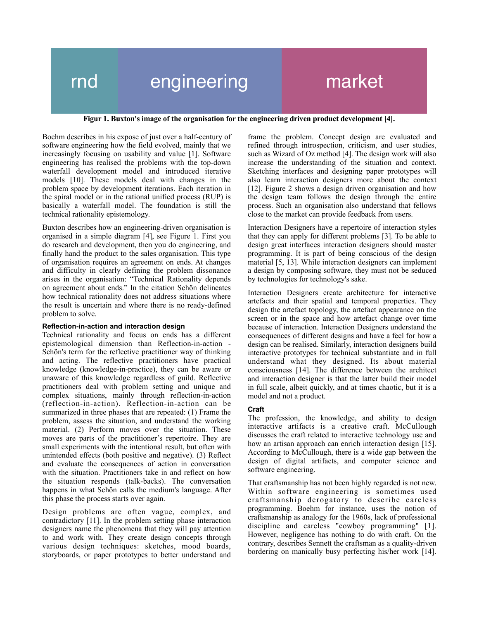# rnd engineering market

### **Figur 1. Buxton's image of the organisation for the engineering driven product development [4].**

Boehm describes in his expose of just over a half-century of software engineering how the field evolved, mainly that we increasingly focusing on usability and value [1]. Software engineering has realised the problems with the top-down waterfall development model and introduced iterative models [10]. These models deal with changes in the problem space by development iterations. Each iteration in the spiral model or in the rational unified process (RUP) is basically a waterfall model. The foundation is still the technical rationality epistemology.

Buxton describes how an engineering-driven organisation is organised in a simple diagram [4], see Figure 1. First you do research and development, then you do engineering, and finally hand the product to the sales organisation. This type of organisation requires an agreement on ends. At changes and difficulty in clearly defining the problem dissonance arises in the organisation: "Technical Rationality depends on agreement about ends." In the citation Schön delineates how technical rationality does not address situations where the result is uncertain and where there is no ready-defined problem to solve.

### **Reflection-in-action and interaction design**

Technical rationality and focus on ends has a different epistemological dimension than Reflection-in-action - Schön's term for the reflective practitioner way of thinking and acting. The reflective practitioners have practical knowledge (knowledge-in-practice), they can be aware or unaware of this knowledge regardless of guild. Reflective practitioners deal with problem setting and unique and complex situations, mainly through reflection-in-action (reflection-in-action). Reflection-in-action can be summarized in three phases that are repeated: (1) Frame the problem, assess the situation, and understand the working material. (2) Perform moves over the situation. These moves are parts of the practitioner's repertoire. They are small experiments with the intentional result, but often with unintended effects (both positive and negative). (3) Reflect and evaluate the consequences of action in conversation with the situation. Practitioners take in and reflect on how the situation responds (talk-backs). The conversation happens in what Schön calls the medium's language. After this phase the process starts over again.

Design problems are often vague, complex, and contradictory [11]. In the problem setting phase interaction designers name the phenomena that they will pay attention to and work with. They create design concepts through various design techniques: sketches, mood boards, storyboards, or paper prototypes to better understand and

frame the problem. Concept design are evaluated and refined through introspection, criticism, and user studies, such as Wizard of Oz method [4]. The design work will also increase the understanding of the situation and context. Sketching interfaces and designing paper prototypes will also learn interaction designers more about the context [12]. Figure 2 shows a design driven organisation and how the design team follows the design through the entire process. Such an organisation also understand that fellows close to the market can provide feedback from users.

Interaction Designers have a repertoire of interaction styles that they can apply for different problems [3]. To be able to design great interfaces interaction designers should master programming. It is part of being conscious of the design material [5, 13]. While interaction designers can implement a design by composing software, they must not be seduced by technologies for technology's sake.

Interaction Designers create architecture for interactive artefacts and their spatial and temporal properties. They design the artefact topology, the artefact appearance on the screen or in the space and how artefact change over time because of interaction. Interaction Designers understand the consequences of different designs and have a feel for how a design can be realised. Similarly, interaction designers build interactive prototypes for technical substantiate and in full understand what they designed. Its about material consciousness [14]. The difference between the architect and interaction designer is that the latter build their model in full scale, albeit quickly, and at times chaotic, but it is a model and not a product.

## **Craft**

The profession, the knowledge, and ability to design interactive artifacts is a creative craft. McCullough discusses the craft related to interactive technology use and how an artisan approach can enrich interaction design [15]. According to McCullough, there is a wide gap between the design of digital artifacts, and computer science and software engineering.

That craftsmanship has not been highly regarded is not new. Within software engineering is sometimes used craftsmanship derogatory to describe careless programming. Boehm for instance, uses the notion of craftsmanship as analogy for the 1960s, lack of professional discipline and careless "cowboy programming" [1]. However, negligence has nothing to do with craft. On the contrary, describes Sennett the craftsman as a quality-driven bordering on manically busy perfecting his/her work [14].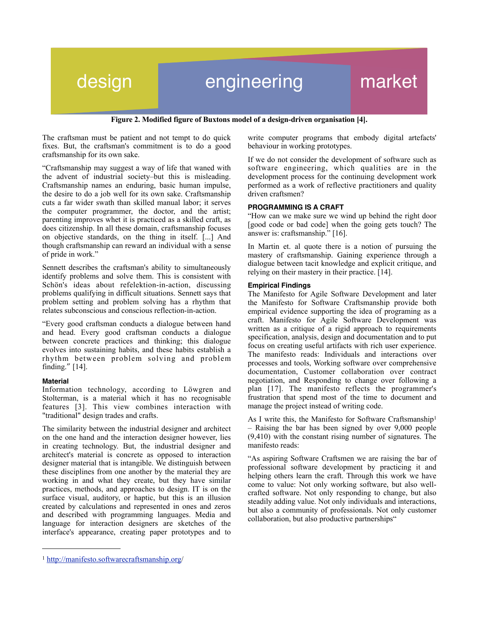## design engineering market

**Figure 2. Modified figure of Buxtons model of a design-driven organisation [4].**

The craftsman must be patient and not tempt to do quick fixes. But, the craftsman's commitment is to do a good craftsmanship for its own sake.

"Craftsmanship may suggest a way of life that waned with the advent of industrial society–but this is misleading. Craftsmanship names an enduring, basic human impulse, the desire to do a job well for its own sake. Craftsmanship cuts a far wider swath than skilled manual labor; it serves the computer programmer, the doctor, and the artist; parenting improves whet it is practiced as a skilled craft, as does citizenship. In all these domain, craftsmanship focuses on objective standards, on the thing in itself. [...] And though craftsmanship can reward an individual with a sense of pride in work."

Sennett describes the craftsman's ability to simultaneously identify problems and solve them. This is consistent with Schön's ideas about refelektion-in-action, discussing problems qualifying in difficult situations. Sennett says that problem setting and problem solving has a rhythm that relates subconscious and conscious reflection-in-action.

"Every good craftsman conducts a dialogue between hand and head. Every good craftsman conducts a dialogue between concrete practices and thinking; this dialogue evolves into sustaining habits, and these habits establish a rhythm between problem solving and problem finding." [14].

### **Material**

Information technology, according to Löwgren and Stolterman, is a material which it has no recognisable features [3]. This view combines interaction with "traditional" design trades and crafts.

The similarity between the industrial designer and architect on the one hand and the interaction designer however, lies in creating technology. But, the industrial designer and architect's material is concrete as opposed to interaction designer material that is intangible. We distinguish between these disciplines from one another by the material they are working in and what they create, but they have similar practices, methods, and approaches to design. IT is on the surface visual, auditory, or haptic, but this is an illusion created by calculations and represented in ones and zeros and described with programming languages. Media and language for interaction designers are sketches of the interface's appearance, creating paper prototypes and to

<span id="page-2-0"></span><sup>1</sup> [http://manifesto.softwarecraftsmanship.org/](http://manifesto.softwarecraftsmanship.org)

write computer programs that embody digital artefacts' behaviour in working prototypes.

If we do not consider the development of software such as software engineering, which qualities are in the development process for the continuing development work performed as a work of reflective practitioners and quality driven craftsmen?

### **PROGRAMMING IS A CRAFT**

"How can we make sure we wind up behind the right door [good code or bad code] when the going gets touch? The answer is: craftsmanship." [16].

In Martin et. al quote there is a notion of pursuing the mastery of craftsmanship. Gaining experience through a dialogue between tacit knowledge and explicit critique, and relying on their mastery in their practice. [14].

### **Empirical Findings**

The Manifesto for Agile Software Development and later the Manifesto for Software Craftsmanship provide both empirical evidence supporting the idea of programing as a craft. Manifesto for Agile Software Development was written as a critique of a rigid approach to requirements specification, analysis, design and documentation and to put focus on creating useful artifacts with rich user experience. The manifesto reads: Individuals and interactions over processes and tools, Working software over comprehensive documentation, Customer collaboration over contract negotiation, and Responding to change over following a plan [17]. The manifesto reflects the programmer's frustration that spend most of the time to document and manage the project instead of writing code.

As I write this, the Manifesto for Software Craftsmanship<sup>[1](#page-2-0)</sup> – Raising the bar has been signed by over 9,000 people (9,410) with the constant rising number of signatures. The manifesto reads:

"As aspiring Software Craftsmen we are raising the bar of professional software development by practicing it and helping others learn the craft. Through this work we have come to value: Not only working software, but also wellcrafted software. Not only responding to change, but also steadily adding value. Not only individuals and interactions, but also a community of professionals. Not only customer collaboration, but also productive partnerships"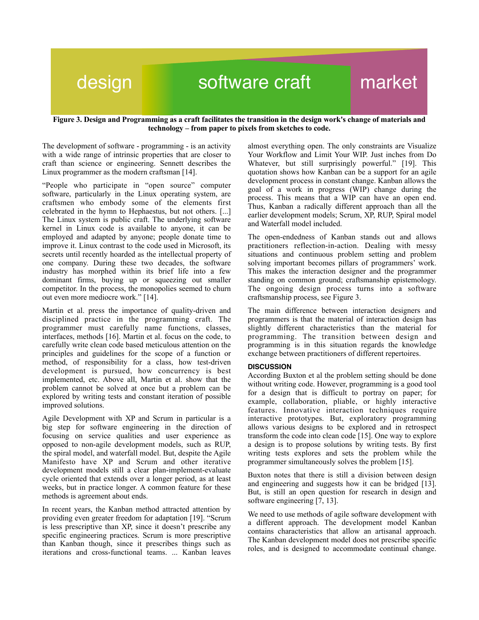## design software craft market

### **Figure 3. Design and Programming as a craft facilitates the transition in the design work's change of materials and technology – from paper to pixels from sketches to code.**

The development of software - programming - is an activity with a wide range of intrinsic properties that are closer to craft than science or engineering. Sennett describes the Linux programmer as the modern craftsman [14].

"People who participate in "open source" computer software, particularly in the Linux operating system, are craftsmen who embody some of the elements first celebrated in the hymn to Hephaestus, but not others. [...] The Linux system is public craft. The underlying software kernel in Linux code is available to anyone, it can be employed and adapted by anyone; people donate time to improve it. Linux contrast to the code used in Microsoft, its secrets until recently hoarded as the intellectual property of one company. During these two decades, the software industry has morphed within its brief life into a few dominant firms, buying up or squeezing out smaller competitor. In the process, the monopolies seemed to churn out even more mediocre work." [14].

Martin et al. press the importance of quality-driven and disciplined practice in the programming craft. The programmer must carefully name functions, classes, interfaces, methods [16]. Martin et al. focus on the code, to carefully write clean code based meticulous attention on the principles and guidelines for the scope of a function or method, of responsibility for a class, how test-driven development is pursued, how concurrency is best implemented, etc. Above all, Martin et al. show that the problem cannot be solved at once but a problem can be explored by writing tests and constant iteration of possible improved solutions.

Agile Development with XP and Scrum in particular is a big step for software engineering in the direction of focusing on service qualities and user experience as opposed to non-agile development models, such as RUP, the spiral model, and waterfall model. But, despite the Agile Manifesto have XP and Scrum and other iterative development models still a clear plan-implement-evaluate cycle oriented that extends over a longer period, as at least weeks, but in practice longer. A common feature for these methods is agreement about ends.

In recent years, the Kanban method attracted attention by providing even greater freedom for adaptation [19]. "Scrum is less prescriptive than XP, since it doesn't prescribe any specific engineering practices. Scrum is more prescriptive than Kanban though, since it prescribes things such as iterations and cross-functional teams. ... Kanban leaves almost everything open. The only constraints are Visualize Your Workflow and Limit Your WIP. Just inches from Do Whatever, but still surprisingly powerful." [19]. This quotation shows how Kanban can be a support for an agile development process in constant change. Kanban allows the goal of a work in progress (WIP) change during the process. This means that a WIP can have an open end. Thus, Kanban a radically different approach than all the earlier development models; Scrum, XP, RUP, Spiral model and Waterfall model included.

The open-endedness of Kanban stands out and allows practitioners reflection-in-action. Dealing with messy situations and continuous problem setting and problem solving important becomes pillars of programmers' work. This makes the interaction designer and the programmer standing on common ground; craftsmanship epistemology. The ongoing design process turns into a software craftsmanship process, see Figure 3.

The main difference between interaction designers and programmers is that the material of interaction design has slightly different characteristics than the material for programming. The transition between design and programming is in this situation regards the knowledge exchange between practitioners of different repertoires.

### **DISCUSSION**

According Buxton et al the problem setting should be done without writing code. However, programming is a good tool for a design that is difficult to portray on paper; for example, collaboration, pliable, or highly interactive features. Innovative interaction techniques require interactive prototypes. But, exploratory programming allows various designs to be explored and in retrospect transform the code into clean code [15]. One way to explore a design is to propose solutions by writing tests. By first writing tests explores and sets the problem while the programmer simultaneously solves the problem [15].

Buxton notes that there is still a division between design and engineering and suggests how it can be bridged [13]. But, is still an open question for research in design and software engineering [7, 13].

We need to use methods of agile software development with a different approach. The development model Kanban contains characteristics that allow an artisanal approach. The Kanban development model does not prescribe specific roles, and is designed to accommodate continual change.